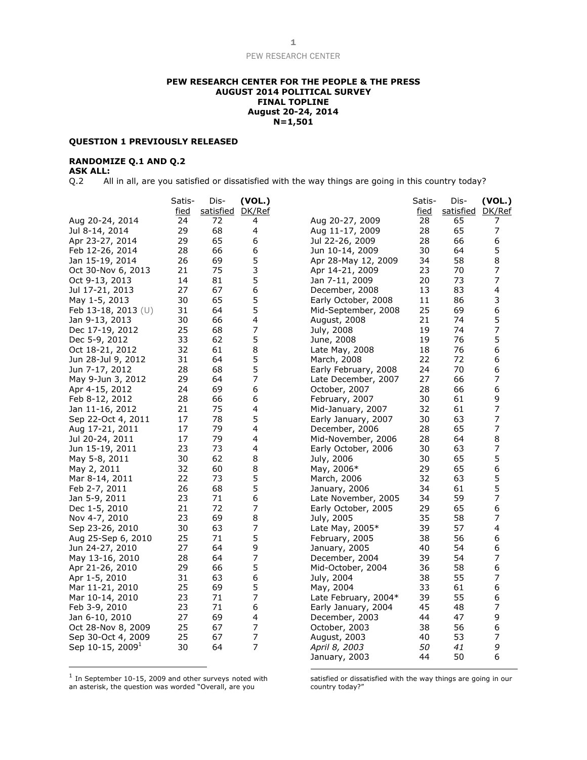### **PEW RESEARCH CENTER FOR THE PEOPLE & THE PRESS AUGUST 2014 POLITICAL SURVEY FINAL TOPLINE August 20-24, 2014 N=1,501**

### **QUESTION 1 PREVIOUSLY RELEASED**

# **RANDOMIZE Q.1 AND Q.2**

# **ASK ALL:**

Q.2 All in all, are you satisfied or dissatisfied with the way things are going in this country today?

|                              | Satis-      | Dis-             | (VOL.)         |                      | Satis-      | Dis-      | (VOL.)         |
|------------------------------|-------------|------------------|----------------|----------------------|-------------|-----------|----------------|
|                              | <u>fied</u> | satisfied DK/Ref |                |                      | <u>fied</u> | satisfied | DK/Ref         |
| Aug 20-24, 2014              | 24          | 72               | 4              | Aug 20-27, 2009      | 28          | 65        | 7              |
| Jul 8-14, 2014               | 29          | 68               | 4              | Aug 11-17, 2009      | 28          | 65        | 7              |
| Apr 23-27, 2014              | 29          | 65               | 6              | Jul 22-26, 2009      | 28          | 66        | 6              |
| Feb 12-26, 2014              | 28          | 66               | 6              | Jun 10-14, 2009      | 30          | 64        | 5              |
| Jan 15-19, 2014              | 26          | 69               | 5              | Apr 28-May 12, 2009  | 34          | 58        | 8              |
| Oct 30-Nov 6, 2013           | 21          | 75               | 3              | Apr 14-21, 2009      | 23          | 70        | 7              |
| Oct 9-13, 2013               | 14          | 81               | 5              | Jan 7-11, 2009       | 20          | 73        | 7              |
| Jul 17-21, 2013              | 27          | 67               | 6              | December, 2008       | 13          | 83        | 4              |
| May 1-5, 2013                | 30          | 65               | 5              | Early October, 2008  | 11          | 86        | 3              |
| Feb 13-18, 2013 $(U)$        | 31          | 64               | 5              | Mid-September, 2008  | 25          | 69        | 6              |
| Jan 9-13, 2013               | 30          | 66               | 4              | August, 2008         | 21          | 74        | 5              |
| Dec 17-19, 2012              | 25          | 68               | 7              | July, 2008           | 19          | 74        | 7              |
| Dec 5-9, 2012                | 33          | 62               | 5              | June, 2008           | 19          | 76        | 5              |
| Oct 18-21, 2012              | 32          | 61               | 8              | Late May, 2008       | 18          | 76        | 6              |
| Jun 28-Jul 9, 2012           | 31          | 64               | 5              | March, 2008          | 22          | 72        | 6              |
| Jun 7-17, 2012               | 28          | 68               | 5              | Early February, 2008 | 24          | 70        | 6              |
| May 9-Jun 3, 2012            | 29          | 64               | 7              | Late December, 2007  | 27          | 66        | 7              |
| Apr 4-15, 2012               | 24          | 69               | 6              | October, 2007        | 28          | 66        | 6              |
| Feb 8-12, 2012               | 28          | 66               | 6              | February, 2007       | 30          | 61        | 9              |
| Jan 11-16, 2012              | 21          | 75               | 4              | Mid-January, 2007    | 32          | 61        | 7              |
| Sep 22-Oct 4, 2011           | 17          | 78               | 5              | Early January, 2007  | 30          | 63        | 7              |
| Aug 17-21, 2011              | 17          | 79               | 4              | December, 2006       | 28          | 65        | $\overline{7}$ |
| Jul 20-24, 2011              | 17          | 79               | 4              | Mid-November, 2006   | 28          | 64        | 8              |
| Jun 15-19, 2011              | 23          | 73               | 4              | Early October, 2006  | 30          | 63        | 7              |
| May 5-8, 2011                | 30          | 62               | 8              | July, 2006           | 30          | 65        | 5              |
| May 2, 2011                  | 32          | 60               | 8              | May, 2006*           | 29          | 65        | 6              |
| Mar 8-14, 2011               | 22          | 73               | 5              | March, 2006          | 32          | 63        | 5              |
| Feb 2-7, 2011                | 26          | 68               | 5              | January, 2006        | 34          | 61        | 5              |
| Jan 5-9, 2011                | 23          | 71               | 6              | Late November, 2005  | 34          | 59        | 7              |
| Dec 1-5, 2010                | 21          | 72               | 7              | Early October, 2005  | 29          | 65        | 6              |
| Nov 4-7, 2010                | 23          | 69               | 8              | July, 2005           | 35          | 58        | 7              |
| Sep 23-26, 2010              | 30          | 63               | 7              | Late May, 2005*      | 39          | 57        | 4              |
| Aug 25-Sep 6, 2010           | 25          | 71               | 5              | February, 2005       | 38          | 56        | 6              |
| Jun 24-27, 2010              | 27          | 64               | 9              | January, 2005        | 40          | 54        | 6              |
| May 13-16, 2010              | 28          | 64               | 7              | December, 2004       | 39          | 54        | 7              |
| Apr 21-26, 2010              | 29          | 66               | 5              | Mid-October, 2004    | 36          | 58        | 6              |
| Apr 1-5, 2010                | 31          | 63               | 6              | July, 2004           | 38          | 55        | 7              |
| Mar 11-21, 2010              | 25          | 69               | 5              | May, 2004            | 33          | 61        | 6              |
| Mar 10-14, 2010              | 23          | 71               | 7              | Late February, 2004* | 39          | 55        | 6              |
| Feb 3-9, 2010                | 23          | 71               | 6              | Early January, 2004  | 45          | 48        | 7              |
| Jan 6-10, 2010               | 27          | 69               | 4              | December, 2003       | 44          | 47        | 9              |
| Oct 28-Nov 8, 2009           | 25          | 67               | 7              | October, 2003        | 38          | 56        | 6              |
| Sep 30-Oct 4, 2009           | 25          | 67               | 7              | August, 2003         | 40          | 53        | 7              |
| Sep 10-15, 2009 <sup>1</sup> | 30          | 64               | $\overline{7}$ | April 8, 2003        | 50          | 41        | 9              |
|                              |             |                  |                | January, 2003        | 44          | 50        | 6              |

 $1$  In September 10-15, 2009 and other surveys noted with an asterisk, the question was worded "Overall, are you

satisfied or dissatisfied with the way things are going in our country today?"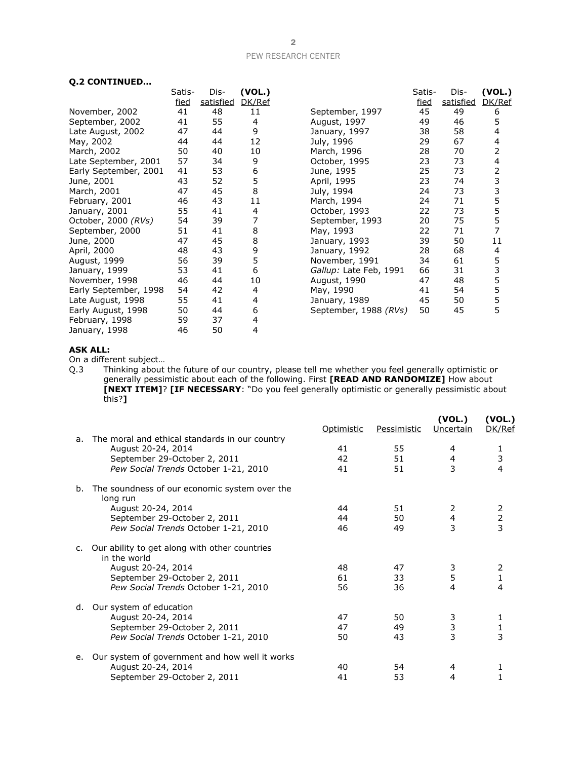# **Q.2 CONTINUED…**

|                       | Satis- | Dis-      | (VOL.) |                        | Satis- | Dis-      | (VOL.) |
|-----------------------|--------|-----------|--------|------------------------|--------|-----------|--------|
|                       | fied   | satisfied | DK/Ref |                        | fied   | satisfied | DK/Ref |
| November, 2002        | 41     | 48        | 11     | September, 1997        | 45     | 49        | 6      |
| September, 2002       | 41     | 55        | 4      | August, 1997           | 49     | 46        | 5      |
| Late August, 2002     | 47     | 44        | 9      | January, 1997          | 38     | 58        | 4      |
| May, 2002             | 44     | 44        | 12     | July, 1996             | 29     | 67        | 4      |
| March, 2002           | 50     | 40        | 10     | March, 1996            | 28     | 70        | 2      |
| Late September, 2001  | 57     | 34        | 9      | October, 1995          | 23     | 73        | 4      |
| Early September, 2001 | 41     | 53        | 6      | June, 1995             | 25     | 73        | 2      |
| June, 2001            | 43     | 52        | 5      | April, 1995            | 23     | 74        | 3      |
| March, 2001           | 47     | 45        | 8      | July, 1994             | 24     | 73        | 3<br>5 |
| February, 2001        | 46     | 43        | 11     | March, 1994            | 24     | 71        |        |
| January, 2001         | 55     | 41        | 4      | October, 1993          | 22     | 73        | 5<br>5 |
| October, 2000 (RVs)   | 54     | 39        |        | September, 1993        | 20     | 75        |        |
| September, 2000       | 51     | 41        | 8      | May, 1993              | 22     | 71        | 7      |
| June, 2000            | 47     | 45        | 8      | January, 1993          | 39     | 50        | 11     |
| April, 2000           | 48     | 43        | 9      | January, 1992          | 28     | 68        | 4      |
| August, 1999          | 56     | 39        | 5      | November, 1991         | 34     | 61        | 5      |
| January, 1999         | 53     | 41        | 6      | Gallup: Late Feb, 1991 | 66     | 31        | 3<br>5 |
| November, 1998        | 46     | 44        | 10     | August, 1990           | 47     | 48        |        |
| Early September, 1998 | 54     | 42        | 4      | May, 1990              | 41     | 54        | 5      |
| Late August, 1998     | 55     | 41        | 4      | January, 1989          | 45     | 50        | 5      |
| Early August, 1998    | 50     | 44        | 6      | September, 1988 (RVs)  | 50     | 45        | 5      |
| February, 1998        | 59     | 37        | 4      |                        |        |           |        |
| January, 1998         | 46     | 50        | 4      |                        |        |           |        |

# **ASK ALL:**

On a different subject…

Q.3 Thinking about the future of our country, please tell me whether you feel generally optimistic or generally pessimistic about each of the following. First **[READ AND RANDOMIZE]** How about **[NEXT ITEM]**? **[IF NECESSARY**: "Do you feel generally optimistic or generally pessimistic about this?**]**

|    |                                                               | Optimistic | Pessimistic | (VOL.)<br>Uncertain     | (VOL.)<br>DK/Ref                           |
|----|---------------------------------------------------------------|------------|-------------|-------------------------|--------------------------------------------|
| a. | The moral and ethical standards in our country                |            |             |                         |                                            |
|    | August 20-24, 2014                                            | 41         | 55          | 4                       |                                            |
|    | September 29-October 2, 2011                                  | 42         | 51          | $\overline{4}$          | $\frac{1}{3}$                              |
|    | Pew Social Trends October 1-21, 2010                          | 41         | 51          | 3                       | 4                                          |
| b. | The soundness of our economic system over the<br>long run     |            |             |                         |                                            |
|    | August 20-24, 2014                                            | 44         | 51          | 2                       |                                            |
|    | September 29-October 2, 2011                                  | 44         | 50          | $\overline{\mathbf{4}}$ | $\begin{array}{c} 2 \\ 2 \\ 3 \end{array}$ |
|    | Pew Social Trends October 1-21, 2010                          | 46         | 49          | 3                       |                                            |
| C. | Our ability to get along with other countries<br>in the world |            |             |                         |                                            |
|    | August 20-24, 2014                                            | 48         | 47          | 3                       | 2                                          |
|    | September 29-October 2, 2011                                  | 61         | 33          | 5                       | $\mathbf{1}$                               |
|    | Pew Social Trends October 1-21, 2010                          | 56         | 36          | 4                       | 4                                          |
| d. | Our system of education                                       |            |             |                         |                                            |
|    | August 20-24, 2014                                            | 47         | 50          | 3                       | 1                                          |
|    | September 29-October 2, 2011                                  | 47         | 49          | $\frac{3}{3}$           |                                            |
|    | Pew Social Trends October 1-21, 2010                          | 50         | 43          |                         | $\frac{1}{3}$                              |
| e. | Our system of government and how well it works                |            |             |                         |                                            |
|    | August 20-24, 2014                                            | 40         | 54          | 4                       | 1                                          |
|    | September 29-October 2, 2011                                  | 41         | 53          | 4                       |                                            |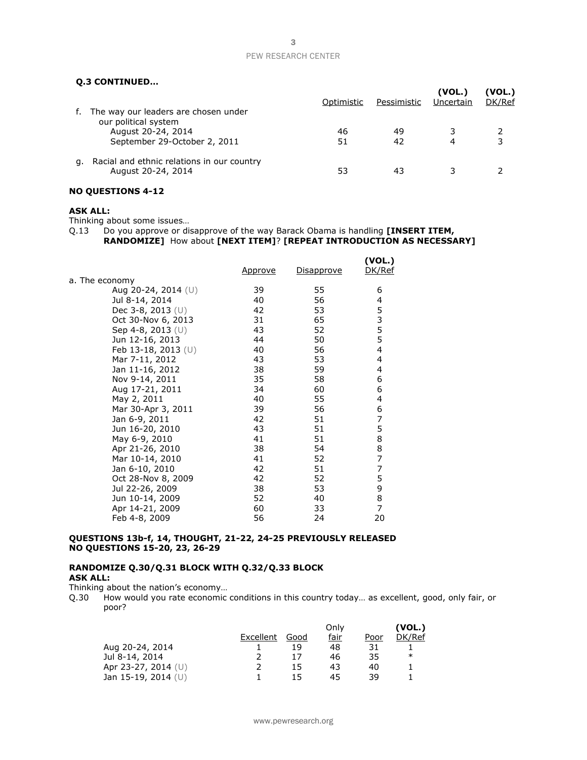### **Q.3 CONTINUED…**

| f. | The way our leaders are chosen under                                       | Optimistic | Pessimistic | (VOL.)<br>Uncertain | (VOL.)<br>DK/Ref |
|----|----------------------------------------------------------------------------|------------|-------------|---------------------|------------------|
|    | our political system<br>August 20-24, 2014<br>September 29-October 2, 2011 | 46<br>51   | 49<br>42    |                     |                  |
| а. | Racial and ethnic relations in our country<br>August 20-24, 2014           | 53         | -43         |                     |                  |

# **NO QUESTIONS 4-12**

### **ASK ALL:**

Thinking about some issues…

Q.13 Do you approve or disapprove of the way Barack Obama is handling **[INSERT ITEM, RANDOMIZE]** How about **[NEXT ITEM]**? **[REPEAT INTRODUCTION AS NECESSARY]**

|                       | <u>Approve</u> | <u>Disapprove</u> | (VOL.)<br>DK/Ref |
|-----------------------|----------------|-------------------|------------------|
| a. The economy        |                |                   |                  |
| Aug 20-24, 2014 $(U)$ | 39             | 55                | 6                |
| Jul 8-14, 2014        | 40             | 56                | 4                |
| Dec 3-8, 2013 (U)     | 42             | 53                | 5                |
| Oct 30-Nov 6, 2013    | 31             | 65                | 3                |
| Sep 4-8, 2013 $(U)$   | 43             | 52                | 5                |
| Jun 12-16, 2013       | 44             | 50                | 5                |
| Feb 13-18, 2013 $(U)$ | 40             | 56                | $\overline{4}$   |
| Mar 7-11, 2012        | 43             | 53                | 4                |
| Jan 11-16, 2012       | 38             | 59                | 4                |
| Nov 9-14, 2011        | 35             | 58                | 6                |
| Aug 17-21, 2011       | 34             | 60                | 6                |
| May 2, 2011           | 40             | 55                | 4                |
| Mar 30-Apr 3, 2011    | 39             | 56                | 6                |
| Jan 6-9, 2011         | 42             | 51                | 7                |
| Jun 16-20, 2010       | 43             | 51                | 5                |
| May 6-9, 2010         | 41             | 51                | 8                |
| Apr 21-26, 2010       | 38             | 54                | 8                |
| Mar 10-14, 2010       | 41             | 52                | $\overline{7}$   |
| Jan 6-10, 2010        | 42             | 51                | 7                |
| Oct 28-Nov 8, 2009    | 42             | 52                | 5                |
| Jul 22-26, 2009       | 38             | 53                | 9                |
| Jun 10-14, 2009       | 52             | 40                | 8                |
| Apr 14-21, 2009       | 60             | 33                | 7                |
| Feb 4-8, 2009         | 56             | 24                | 20               |

# **QUESTIONS 13b-f, 14, THOUGHT, 21-22, 24-25 PREVIOUSLY RELEASED NO QUESTIONS 15-20, 23, 26-29**

### **RANDOMIZE Q.30/Q.31 BLOCK WITH Q.32/Q.33 BLOCK ASK ALL:**

Thinking about the nation's economy…

Q.30 How would you rate economic conditions in this country today… as excellent, good, only fair, or poor?

|                       |           |      | Only |      | (VOL.) |
|-----------------------|-----------|------|------|------|--------|
|                       | Excellent | Good | fair | Poor | DK/Ref |
| Aug 20-24, 2014       |           | 19   | 48   | 31   |        |
| Jul 8-14, 2014        |           |      | 46   | 35   | ∗      |
| Apr 23-27, 2014 $(U)$ |           | 15   | 43   | 40   |        |
| Jan 15-19, 2014 (U)   |           | 15   | 45   | 39   |        |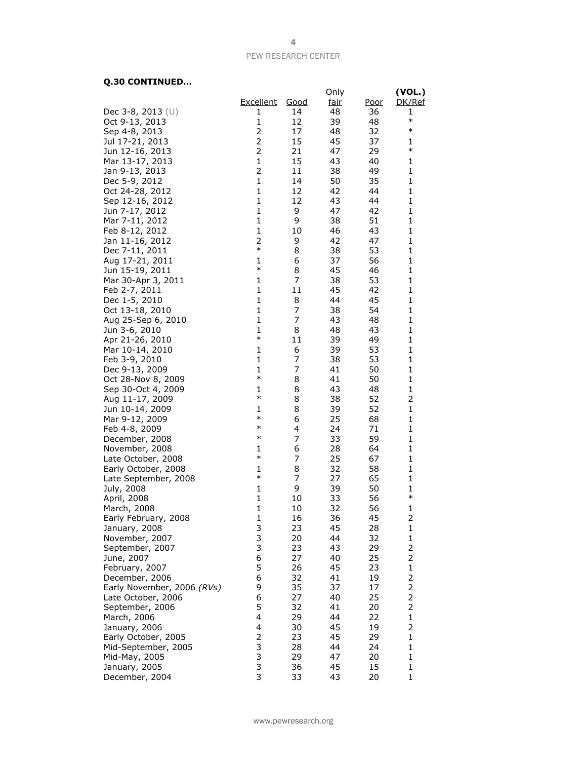# **Q.30 CONTINUED…**

|                            |                |             | Only        |             | (VOL.)         |
|----------------------------|----------------|-------------|-------------|-------------|----------------|
|                            | Excellent      |             |             |             | DK/Ref         |
|                            |                | <u>Good</u> | <u>fair</u> | <u>Poor</u> |                |
| Dec 3-8, 2013 $(U)$        | 1              | 14          | 48          | 36          | 1<br>$\ast$    |
| Oct 9-13, 2013             | 1              | 12          | 39          | 48          | $\ast$         |
| Sep 4-8, 2013              | 2              | 17          | 48          | 32          |                |
| Jul 17-21, 2013            | $\overline{2}$ | 15          | 45          | 37          | 1              |
| Jun 12-16, 2013            | $\overline{2}$ | 21          | 47          | 29          | $\ast$         |
| Mar 13-17, 2013            | 1              | 15          | 43          | 40          | 1              |
| Jan 9-13, 2013             | 2              | 11          | 38          | 49          | 1              |
| Dec 5-9, 2012              | $\mathbf 1$    | 14          | 50          | 35          | $\mathbf 1$    |
| Oct 24-28, 2012            | $\mathbf 1$    | 12          | 42          | 44          | 1              |
| Sep 12-16, 2012            | $\mathbf{1}$   | 12          | 43          | 44          | 1              |
| Jun 7-17, 2012             | $\mathbf{1}$   | 9           | 47          | 42          | 1              |
| Mar 7-11, 2012             | $\mathbf{1}$   | 9           | 38          | 51          | 1              |
| Feb 8-12, 2012             | 1              | 10          | 46          | 43          | 1              |
| Jan 11-16, 2012            | 2              | 9           | 42          | 47          | 1              |
| Dec 7-11, 2011             | $\ast$         | 8           | 38          | 53          | 1              |
| Aug 17-21, 2011            | 1              | 6           | 37          | 56          | 1              |
| Jun 15-19, 2011            | $\ast$         | 8           | 45          | 46          | 1              |
| Mar 30-Apr 3, 2011         | 1              | 7           | 38          | 53          | 1              |
| Feb 2-7, 2011              | $\mathbf{1}$   | 11          | 45          | 42          | 1              |
| Dec 1-5, 2010              | 1              | 8           | 44          | 45          | 1              |
| Oct 13-18, 2010            | 1              | 7           | 38          | 54          | 1              |
| Aug 25-Sep 6, 2010         | $\mathbf{1}$   | 7           | 43          | 48          | $\mathbf 1$    |
| Jun 3-6, 2010              | $\mathbf{1}$   | 8           | 48          | 43          | 1              |
| Apr 21-26, 2010            | $\ast$         | 11          | 39          | 49          | 1              |
| Mar 10-14, 2010            | 1              | 6           | 39          | 53          | 1              |
| Feb 3-9, 2010              | $\mathbf{1}$   | 7           | 38          | 53          | $\mathbf 1$    |
| Dec 9-13, 2009             | 1              | 7           | 41          | 50          | 1              |
| Oct 28-Nov 8, 2009         | $\ast$         | 8           | 41          | 50          | 1              |
| Sep 30-Oct 4, 2009         | 1              | 8           | 43          | 48          | $\mathbf 1$    |
| Aug 11-17, 2009            | $\ast$         | 8           | 38          | 52          | 2              |
| Jun 10-14, 2009            | 1              | 8           | 39          | 52          | $\mathbf 1$    |
| Mar 9-12, 2009             | $\ast$         | 6           | 25          | 68          | 1              |
| Feb 4-8, 2009              | $\ast$         | 4           | 24          | 71          | 1              |
| December, 2008             | $\ast$         | 7           | 33          | 59          | 1              |
| November, 2008             | 1              | 6           | 28          | 64          | 1              |
| Late October, 2008         | $\ast$         | 7           | 25          | 67          | 1              |
|                            | 1              | 8           | 32          | 58          | $\mathbf 1$    |
| Early October, 2008        | $\ast$         | 7           | 27          | 65          | 1              |
| Late September, 2008       | 1              |             |             |             | 1              |
| July, 2008                 | $\mathbf{1}$   | 9           | 39          | 50          | $\ast$         |
| April, 2008                | $\mathbf{1}$   | 10          | 33          | 56          |                |
| March, 2008                |                | 10          | 32          | 56          | 1              |
| Early February, 2008       | 1              | 16          | 36          | 45          | 2              |
| January, 2008              | 3              | 23          | 45          | 28          | $\mathbf 1$    |
| November, 2007             | 3              | 20          | 44          | 32          | 1              |
| September, 2007            | 3              | 23          | 43          | 29          | 2              |
| June, 2007                 | 6              | 27          | 40          | 25          | 2              |
| February, 2007             | 5              | 26          | 45          | 23          | $\mathbf 1$    |
| December, 2006             | 6              | 32          | 41          | 19          | 2              |
| Early November, 2006 (RVs) | 9              | 35          | 37          | 17          | $\overline{c}$ |
| Late October, 2006         | 6              | 27          | 40          | 25          | 2              |
| September, 2006            | 5              | 32          | 41          | 20          | $\overline{2}$ |
| March, 2006                | 4              | 29          | 44          | 22          | $\mathbf{1}$   |
| January, 2006              | 4              | 30          | 45          | 19          | 2              |
| Early October, 2005        | $\overline{2}$ | 23          | 45          | 29          | $\mathbf{1}$   |
| Mid-September, 2005        | 3              | 28          | 44          | 24          | $\mathbf{1}$   |
| Mid-May, 2005              | 3              | 29          | 47          | 20          | $\mathbf{1}$   |
| January, 2005              | 3              | 36          | 45          | 15          | $\mathbf 1$    |
| December, 2004             | 3              | 33          | 43          | 20          | $\mathbf{1}$   |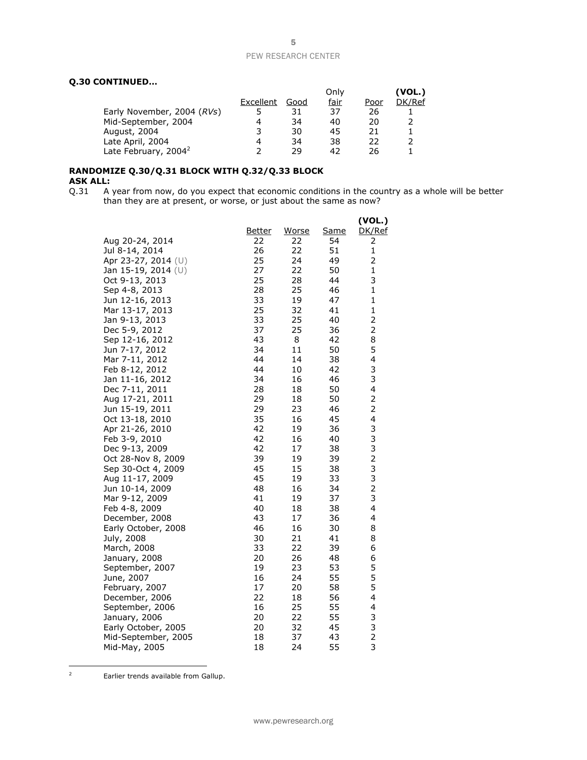# **Q.30 CONTINUED…**

|                                  |           |      | Only        |      | (VOL.) |
|----------------------------------|-----------|------|-------------|------|--------|
|                                  | Excellent | Good | <u>fair</u> | Poor | DK/Ref |
| Early November, 2004 (RVs)       |           | 31   | 37          | 26   |        |
| Mid-September, 2004              | 4         | 34   | 40          | 20   |        |
| August, 2004                     | 3         | 30   | 45          | 21   |        |
| Late April, 2004                 | 4         | 34   | 38          | フフ   |        |
| Late February, 2004 <sup>2</sup> |           | 29   | 42          | 26   |        |

### **RANDOMIZE Q.30/Q.31 BLOCK WITH Q.32/Q.33 BLOCK ASK ALL:**

Q.31 A year from now, do you expect that economic conditions in the country as a whole will be better than they are at present, or worse, or just about the same as now?

| <b>Same</b><br>DK/Ref<br><u>Better</u><br>Worse<br>Aug 20-24, 2014<br>22<br>22<br>54<br>2<br>22<br>$\mathbf{1}$<br>Jul 8-14, 2014<br>26<br>51<br>2<br>25<br>24<br>49<br>Apr 23-27, 2014 (U)<br>27<br>22<br>50<br>$\mathbf{1}$<br>Jan 15-19, 2014 (U)<br>3<br>25<br>44<br>Oct 9-13, 2013<br>28<br>28<br>25<br>$\mathbf{1}$<br>46<br>Sep 4-8, 2013<br>33<br>1<br>19<br>47<br>Jun 12-16, 2013<br>25<br>32<br>41<br>$\mathbf{1}$<br>Mar 13-17, 2013<br>2<br>33<br>25<br>Jan 9-13, 2013<br>40<br>$\overline{2}$<br>37<br>25<br>Dec 5-9, 2012<br>36<br>8<br>43<br>8<br>42<br>Sep 12-16, 2012<br>5<br>Jun 7-17, 2012<br>34<br>11<br>50<br>4<br>44<br>14<br>38<br>Mar 7-11, 2012<br>3<br>44<br>Feb 8-12, 2012<br>10<br>42<br>3<br>Jan 11-16, 2012<br>34<br>16<br>46<br>4<br>Dec 7-11, 2011<br>28<br>18<br>50<br>$\overline{\mathbf{c}}$<br>29<br>18<br>Aug 17-21, 2011<br>50<br>2<br>Jun 15-19, 2011<br>29<br>23<br>46<br>35<br>4<br>16<br>45<br>Oct 13-18, 2010<br>3<br>42<br>Apr 21-26, 2010<br>19<br>36<br>3<br>42<br>Feb 3-9, 2010<br>16<br>40<br>$\frac{3}{2}$<br>Dec 9-13, 2009<br>42<br>17<br>38<br>39<br>Oct 28-Nov 8, 2009<br>19<br>39<br>3<br>45<br>15<br>38<br>Sep 30-Oct 4, 2009<br>3<br>45<br>Aug 11-17, 2009<br>19<br>33<br>$\overline{2}$<br>48<br>16<br>34<br>Jun 10-14, 2009<br>3<br>41<br>Mar 9-12, 2009<br>19<br>37<br>40<br>4<br>Feb 4-8, 2009<br>18<br>38<br>43<br>4<br>17<br>36<br>December, 2008<br>46<br>16<br>8<br>30<br>Early October, 2008<br>30<br>21<br>41<br>8<br>July, 2008<br>33<br>6<br>22<br>39<br>March, 2008<br>20<br>26<br>6<br>48<br>January, 2008<br>5<br>5<br>23<br>53<br>September, 2007<br>19<br>16<br>24<br>55<br>June, 2007<br>5<br>17<br>58<br>20<br>February, 2007<br>4<br>December, 2006<br>22<br>56<br>18<br>25<br>4<br>September, 2006<br>16<br>55<br>3<br>20<br>22<br>55<br>January, 2006<br>$\frac{3}{2}$<br>32<br>45<br>Early October, 2005<br>20<br>18<br>37<br>43<br>Mid-September, 2005 |               |    |    |    | (VOL.)         |
|----------------------------------------------------------------------------------------------------------------------------------------------------------------------------------------------------------------------------------------------------------------------------------------------------------------------------------------------------------------------------------------------------------------------------------------------------------------------------------------------------------------------------------------------------------------------------------------------------------------------------------------------------------------------------------------------------------------------------------------------------------------------------------------------------------------------------------------------------------------------------------------------------------------------------------------------------------------------------------------------------------------------------------------------------------------------------------------------------------------------------------------------------------------------------------------------------------------------------------------------------------------------------------------------------------------------------------------------------------------------------------------------------------------------------------------------------------------------------------------------------------------------------------------------------------------------------------------------------------------------------------------------------------------------------------------------------------------------------------------------------------------------------------------------------------------------------------------------------------------------------------------------------------------------------------------|---------------|----|----|----|----------------|
|                                                                                                                                                                                                                                                                                                                                                                                                                                                                                                                                                                                                                                                                                                                                                                                                                                                                                                                                                                                                                                                                                                                                                                                                                                                                                                                                                                                                                                                                                                                                                                                                                                                                                                                                                                                                                                                                                                                                        |               |    |    |    |                |
|                                                                                                                                                                                                                                                                                                                                                                                                                                                                                                                                                                                                                                                                                                                                                                                                                                                                                                                                                                                                                                                                                                                                                                                                                                                                                                                                                                                                                                                                                                                                                                                                                                                                                                                                                                                                                                                                                                                                        |               |    |    |    |                |
|                                                                                                                                                                                                                                                                                                                                                                                                                                                                                                                                                                                                                                                                                                                                                                                                                                                                                                                                                                                                                                                                                                                                                                                                                                                                                                                                                                                                                                                                                                                                                                                                                                                                                                                                                                                                                                                                                                                                        |               |    |    |    |                |
|                                                                                                                                                                                                                                                                                                                                                                                                                                                                                                                                                                                                                                                                                                                                                                                                                                                                                                                                                                                                                                                                                                                                                                                                                                                                                                                                                                                                                                                                                                                                                                                                                                                                                                                                                                                                                                                                                                                                        |               |    |    |    |                |
|                                                                                                                                                                                                                                                                                                                                                                                                                                                                                                                                                                                                                                                                                                                                                                                                                                                                                                                                                                                                                                                                                                                                                                                                                                                                                                                                                                                                                                                                                                                                                                                                                                                                                                                                                                                                                                                                                                                                        |               |    |    |    |                |
|                                                                                                                                                                                                                                                                                                                                                                                                                                                                                                                                                                                                                                                                                                                                                                                                                                                                                                                                                                                                                                                                                                                                                                                                                                                                                                                                                                                                                                                                                                                                                                                                                                                                                                                                                                                                                                                                                                                                        |               |    |    |    |                |
|                                                                                                                                                                                                                                                                                                                                                                                                                                                                                                                                                                                                                                                                                                                                                                                                                                                                                                                                                                                                                                                                                                                                                                                                                                                                                                                                                                                                                                                                                                                                                                                                                                                                                                                                                                                                                                                                                                                                        |               |    |    |    |                |
|                                                                                                                                                                                                                                                                                                                                                                                                                                                                                                                                                                                                                                                                                                                                                                                                                                                                                                                                                                                                                                                                                                                                                                                                                                                                                                                                                                                                                                                                                                                                                                                                                                                                                                                                                                                                                                                                                                                                        |               |    |    |    |                |
|                                                                                                                                                                                                                                                                                                                                                                                                                                                                                                                                                                                                                                                                                                                                                                                                                                                                                                                                                                                                                                                                                                                                                                                                                                                                                                                                                                                                                                                                                                                                                                                                                                                                                                                                                                                                                                                                                                                                        |               |    |    |    |                |
|                                                                                                                                                                                                                                                                                                                                                                                                                                                                                                                                                                                                                                                                                                                                                                                                                                                                                                                                                                                                                                                                                                                                                                                                                                                                                                                                                                                                                                                                                                                                                                                                                                                                                                                                                                                                                                                                                                                                        |               |    |    |    |                |
|                                                                                                                                                                                                                                                                                                                                                                                                                                                                                                                                                                                                                                                                                                                                                                                                                                                                                                                                                                                                                                                                                                                                                                                                                                                                                                                                                                                                                                                                                                                                                                                                                                                                                                                                                                                                                                                                                                                                        |               |    |    |    |                |
|                                                                                                                                                                                                                                                                                                                                                                                                                                                                                                                                                                                                                                                                                                                                                                                                                                                                                                                                                                                                                                                                                                                                                                                                                                                                                                                                                                                                                                                                                                                                                                                                                                                                                                                                                                                                                                                                                                                                        |               |    |    |    |                |
|                                                                                                                                                                                                                                                                                                                                                                                                                                                                                                                                                                                                                                                                                                                                                                                                                                                                                                                                                                                                                                                                                                                                                                                                                                                                                                                                                                                                                                                                                                                                                                                                                                                                                                                                                                                                                                                                                                                                        |               |    |    |    |                |
|                                                                                                                                                                                                                                                                                                                                                                                                                                                                                                                                                                                                                                                                                                                                                                                                                                                                                                                                                                                                                                                                                                                                                                                                                                                                                                                                                                                                                                                                                                                                                                                                                                                                                                                                                                                                                                                                                                                                        |               |    |    |    |                |
|                                                                                                                                                                                                                                                                                                                                                                                                                                                                                                                                                                                                                                                                                                                                                                                                                                                                                                                                                                                                                                                                                                                                                                                                                                                                                                                                                                                                                                                                                                                                                                                                                                                                                                                                                                                                                                                                                                                                        |               |    |    |    |                |
|                                                                                                                                                                                                                                                                                                                                                                                                                                                                                                                                                                                                                                                                                                                                                                                                                                                                                                                                                                                                                                                                                                                                                                                                                                                                                                                                                                                                                                                                                                                                                                                                                                                                                                                                                                                                                                                                                                                                        |               |    |    |    |                |
|                                                                                                                                                                                                                                                                                                                                                                                                                                                                                                                                                                                                                                                                                                                                                                                                                                                                                                                                                                                                                                                                                                                                                                                                                                                                                                                                                                                                                                                                                                                                                                                                                                                                                                                                                                                                                                                                                                                                        |               |    |    |    |                |
|                                                                                                                                                                                                                                                                                                                                                                                                                                                                                                                                                                                                                                                                                                                                                                                                                                                                                                                                                                                                                                                                                                                                                                                                                                                                                                                                                                                                                                                                                                                                                                                                                                                                                                                                                                                                                                                                                                                                        |               |    |    |    |                |
|                                                                                                                                                                                                                                                                                                                                                                                                                                                                                                                                                                                                                                                                                                                                                                                                                                                                                                                                                                                                                                                                                                                                                                                                                                                                                                                                                                                                                                                                                                                                                                                                                                                                                                                                                                                                                                                                                                                                        |               |    |    |    |                |
|                                                                                                                                                                                                                                                                                                                                                                                                                                                                                                                                                                                                                                                                                                                                                                                                                                                                                                                                                                                                                                                                                                                                                                                                                                                                                                                                                                                                                                                                                                                                                                                                                                                                                                                                                                                                                                                                                                                                        |               |    |    |    |                |
|                                                                                                                                                                                                                                                                                                                                                                                                                                                                                                                                                                                                                                                                                                                                                                                                                                                                                                                                                                                                                                                                                                                                                                                                                                                                                                                                                                                                                                                                                                                                                                                                                                                                                                                                                                                                                                                                                                                                        |               |    |    |    |                |
|                                                                                                                                                                                                                                                                                                                                                                                                                                                                                                                                                                                                                                                                                                                                                                                                                                                                                                                                                                                                                                                                                                                                                                                                                                                                                                                                                                                                                                                                                                                                                                                                                                                                                                                                                                                                                                                                                                                                        |               |    |    |    |                |
|                                                                                                                                                                                                                                                                                                                                                                                                                                                                                                                                                                                                                                                                                                                                                                                                                                                                                                                                                                                                                                                                                                                                                                                                                                                                                                                                                                                                                                                                                                                                                                                                                                                                                                                                                                                                                                                                                                                                        |               |    |    |    |                |
|                                                                                                                                                                                                                                                                                                                                                                                                                                                                                                                                                                                                                                                                                                                                                                                                                                                                                                                                                                                                                                                                                                                                                                                                                                                                                                                                                                                                                                                                                                                                                                                                                                                                                                                                                                                                                                                                                                                                        |               |    |    |    |                |
|                                                                                                                                                                                                                                                                                                                                                                                                                                                                                                                                                                                                                                                                                                                                                                                                                                                                                                                                                                                                                                                                                                                                                                                                                                                                                                                                                                                                                                                                                                                                                                                                                                                                                                                                                                                                                                                                                                                                        |               |    |    |    |                |
|                                                                                                                                                                                                                                                                                                                                                                                                                                                                                                                                                                                                                                                                                                                                                                                                                                                                                                                                                                                                                                                                                                                                                                                                                                                                                                                                                                                                                                                                                                                                                                                                                                                                                                                                                                                                                                                                                                                                        |               |    |    |    |                |
|                                                                                                                                                                                                                                                                                                                                                                                                                                                                                                                                                                                                                                                                                                                                                                                                                                                                                                                                                                                                                                                                                                                                                                                                                                                                                                                                                                                                                                                                                                                                                                                                                                                                                                                                                                                                                                                                                                                                        |               |    |    |    |                |
|                                                                                                                                                                                                                                                                                                                                                                                                                                                                                                                                                                                                                                                                                                                                                                                                                                                                                                                                                                                                                                                                                                                                                                                                                                                                                                                                                                                                                                                                                                                                                                                                                                                                                                                                                                                                                                                                                                                                        |               |    |    |    |                |
|                                                                                                                                                                                                                                                                                                                                                                                                                                                                                                                                                                                                                                                                                                                                                                                                                                                                                                                                                                                                                                                                                                                                                                                                                                                                                                                                                                                                                                                                                                                                                                                                                                                                                                                                                                                                                                                                                                                                        |               |    |    |    |                |
|                                                                                                                                                                                                                                                                                                                                                                                                                                                                                                                                                                                                                                                                                                                                                                                                                                                                                                                                                                                                                                                                                                                                                                                                                                                                                                                                                                                                                                                                                                                                                                                                                                                                                                                                                                                                                                                                                                                                        |               |    |    |    |                |
|                                                                                                                                                                                                                                                                                                                                                                                                                                                                                                                                                                                                                                                                                                                                                                                                                                                                                                                                                                                                                                                                                                                                                                                                                                                                                                                                                                                                                                                                                                                                                                                                                                                                                                                                                                                                                                                                                                                                        |               |    |    |    |                |
|                                                                                                                                                                                                                                                                                                                                                                                                                                                                                                                                                                                                                                                                                                                                                                                                                                                                                                                                                                                                                                                                                                                                                                                                                                                                                                                                                                                                                                                                                                                                                                                                                                                                                                                                                                                                                                                                                                                                        |               |    |    |    |                |
|                                                                                                                                                                                                                                                                                                                                                                                                                                                                                                                                                                                                                                                                                                                                                                                                                                                                                                                                                                                                                                                                                                                                                                                                                                                                                                                                                                                                                                                                                                                                                                                                                                                                                                                                                                                                                                                                                                                                        |               |    |    |    |                |
|                                                                                                                                                                                                                                                                                                                                                                                                                                                                                                                                                                                                                                                                                                                                                                                                                                                                                                                                                                                                                                                                                                                                                                                                                                                                                                                                                                                                                                                                                                                                                                                                                                                                                                                                                                                                                                                                                                                                        |               |    |    |    |                |
|                                                                                                                                                                                                                                                                                                                                                                                                                                                                                                                                                                                                                                                                                                                                                                                                                                                                                                                                                                                                                                                                                                                                                                                                                                                                                                                                                                                                                                                                                                                                                                                                                                                                                                                                                                                                                                                                                                                                        |               |    |    |    |                |
|                                                                                                                                                                                                                                                                                                                                                                                                                                                                                                                                                                                                                                                                                                                                                                                                                                                                                                                                                                                                                                                                                                                                                                                                                                                                                                                                                                                                                                                                                                                                                                                                                                                                                                                                                                                                                                                                                                                                        |               |    |    |    |                |
|                                                                                                                                                                                                                                                                                                                                                                                                                                                                                                                                                                                                                                                                                                                                                                                                                                                                                                                                                                                                                                                                                                                                                                                                                                                                                                                                                                                                                                                                                                                                                                                                                                                                                                                                                                                                                                                                                                                                        |               |    |    |    |                |
|                                                                                                                                                                                                                                                                                                                                                                                                                                                                                                                                                                                                                                                                                                                                                                                                                                                                                                                                                                                                                                                                                                                                                                                                                                                                                                                                                                                                                                                                                                                                                                                                                                                                                                                                                                                                                                                                                                                                        |               |    |    |    |                |
|                                                                                                                                                                                                                                                                                                                                                                                                                                                                                                                                                                                                                                                                                                                                                                                                                                                                                                                                                                                                                                                                                                                                                                                                                                                                                                                                                                                                                                                                                                                                                                                                                                                                                                                                                                                                                                                                                                                                        |               |    |    |    |                |
|                                                                                                                                                                                                                                                                                                                                                                                                                                                                                                                                                                                                                                                                                                                                                                                                                                                                                                                                                                                                                                                                                                                                                                                                                                                                                                                                                                                                                                                                                                                                                                                                                                                                                                                                                                                                                                                                                                                                        |               |    |    |    |                |
|                                                                                                                                                                                                                                                                                                                                                                                                                                                                                                                                                                                                                                                                                                                                                                                                                                                                                                                                                                                                                                                                                                                                                                                                                                                                                                                                                                                                                                                                                                                                                                                                                                                                                                                                                                                                                                                                                                                                        | Mid-May, 2005 | 18 | 24 | 55 | $\overline{3}$ |

Earlier trends available from Gallup.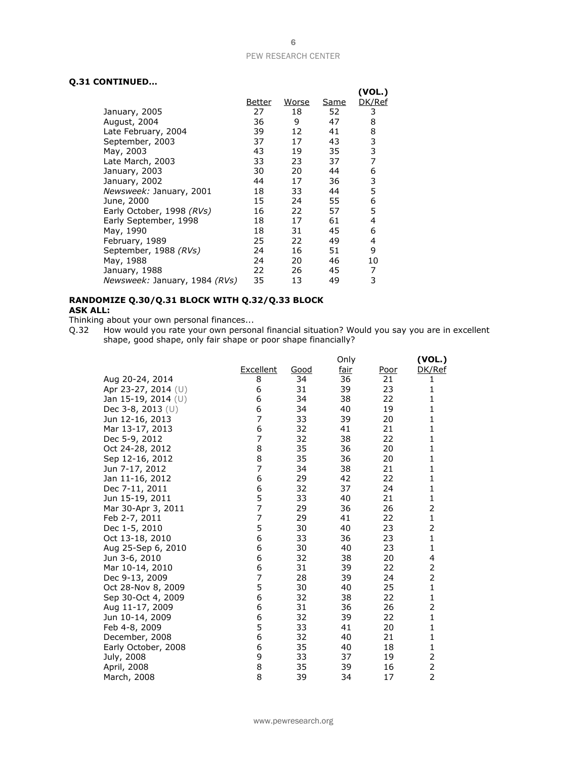# **Q.31 CONTINUED…**

|                               |               |              |             | (VOL.) |
|-------------------------------|---------------|--------------|-------------|--------|
|                               | <u>Better</u> | <u>Worse</u> | <u>Same</u> | DK/Ref |
| January, 2005                 | 27            | 18           | 52          | 3      |
| August, 2004                  | 36            | 9            | 47          | 8      |
| Late February, 2004           | 39            | 12           | 41          | 8      |
| September, 2003               | 37            | 17           | 43          | 3      |
| May, 2003                     | 43            | 19           | 35          | 3      |
| Late March, 2003              | 33            | 23           | 37          | 7      |
| January, 2003                 | 30            | 20           | 44          | 6      |
| January, 2002                 | 44            | 17           | 36          | 3      |
| Newsweek: January, 2001       | 18            | 33           | 44          | 5      |
| June, 2000                    | 15            | 24           | 55          | 6      |
| Early October, 1998 (RVs)     | 16            | 22           | 57          | 5      |
| Early September, 1998         | 18            | 17           | 61          | 4      |
| May, 1990                     | 18            | 31           | 45          | 6      |
| February, 1989                | 25            | 22           | 49          | 4      |
| September, 1988 (RVs)         | 24            | 16           | 51          | 9      |
| May, 1988                     | 24            | 20           | 46          | 10     |
| January, 1988                 | 22            | 26           | 45          | 7      |
| Newsweek: January, 1984 (RVs) | 35            | 13           | 49          | 3      |

### **RANDOMIZE Q.30/Q.31 BLOCK WITH Q.32/Q.33 BLOCK ASK ALL:**

Thinking about your own personal finances...

Q.32 How would you rate your own personal financial situation? Would you say you are in excellent shape, good shape, only fair shape or poor shape financially?

|                     |                  |      | Only |             | (VOL.)                  |
|---------------------|------------------|------|------|-------------|-------------------------|
|                     | <b>Excellent</b> | Good | fair | <u>Poor</u> | DK/Ref                  |
| Aug 20-24, 2014     | 8                | 34   | 36   | 21          | 1                       |
| Apr 23-27, 2014 (U) | 6                | 31   | 39   | 23          | 1                       |
| Jan 15-19, 2014 (U) | 6                | 34   | 38   | 22          | 1                       |
| Dec 3-8, 2013 $(U)$ | 6                | 34   | 40   | 19          | $\mathbf{1}$            |
| Jun 12-16, 2013     | 7                | 33   | 39   | 20          | 1                       |
| Mar 13-17, 2013     | 6                | 32   | 41   | 21          | 1                       |
| Dec 5-9, 2012       | 7                | 32   | 38   | 22          | 1                       |
| Oct 24-28, 2012     | 8                | 35   | 36   | 20          | $\mathbf{1}$            |
| Sep 12-16, 2012     | 8                | 35   | 36   | 20          | 1                       |
| Jun 7-17, 2012      | 7                | 34   | 38   | 21          | 1                       |
| Jan 11-16, 2012     | 6                | 29   | 42   | 22          | $\mathbf{1}$            |
| Dec 7-11, 2011      | 6                | 32   | 37   | 24          | 1                       |
| Jun 15-19, 2011     | 5                | 33   | 40   | 21          | 1                       |
| Mar 30-Apr 3, 2011  | 7                | 29   | 36   | 26          | 2                       |
| Feb 2-7, 2011       | 7                | 29   | 41   | 22          | $\mathbf{1}$            |
| Dec 1-5, 2010       | 5                | 30   | 40   | 23          | 2                       |
| Oct 13-18, 2010     | 6                | 33   | 36   | 23          | $\mathbf{1}$            |
| Aug 25-Sep 6, 2010  | 6                | 30   | 40   | 23          | $\mathbf{1}$            |
| Jun 3-6, 2010       | 6                | 32   | 38   | 20          | 4                       |
| Mar 10-14, 2010     | 6                | 31   | 39   | 22          | $\overline{\mathbf{c}}$ |
| Dec 9-13, 2009      | 7                | 28   | 39   | 24          | $\overline{2}$          |
| Oct 28-Nov 8, 2009  | 5                | 30   | 40   | 25          | $\mathbf{1}$            |
| Sep 30-Oct 4, 2009  | 6                | 32   | 38   | 22          | $\mathbf{1}$            |
| Aug 11-17, 2009     | 6                | 31   | 36   | 26          | 2                       |
| Jun 10-14, 2009     | 6                | 32   | 39   | 22          | $\mathbf{1}$            |
| Feb 4-8, 2009       | 5                | 33   | 41   | 20          | $\mathbf{1}$            |
| December, 2008      | 6                | 32   | 40   | 21          | $\mathbf{1}$            |
| Early October, 2008 | 6                | 35   | 40   | 18          | $\mathbf{1}$            |
| July, 2008          | 9                | 33   | 37   | 19          | $\frac{2}{2}$           |
| April, 2008         | 8                | 35   | 39   | 16          |                         |
| March, 2008         | 8                | 39   | 34   | 17          | $\overline{2}$          |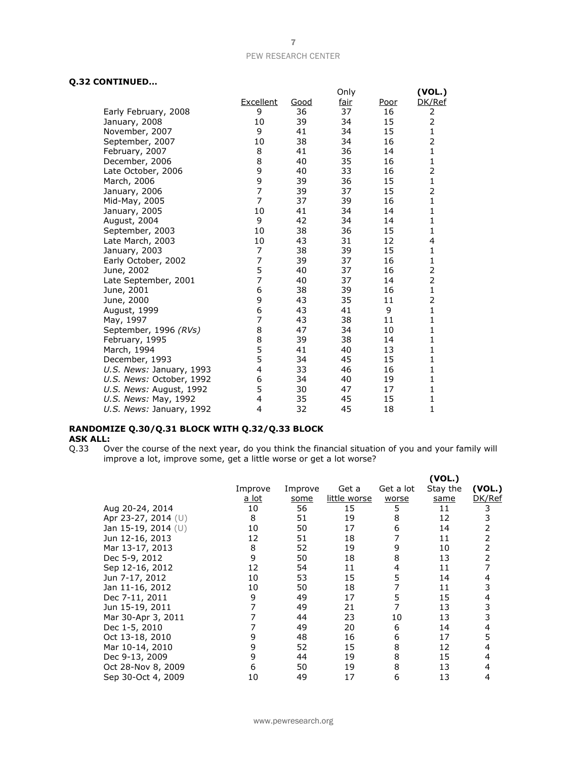# **Q.32 CONTINUED…**

|                          |                |             | Only        |             | (VOL.)         |
|--------------------------|----------------|-------------|-------------|-------------|----------------|
|                          | Excellent      | <u>Good</u> | <u>fair</u> | <u>Poor</u> | DK/Ref         |
| Early February, 2008     | 9              | 36          | 37          | 16          | 2              |
| January, 2008            | 10             | 39          | 34          | 15          | 2              |
| November, 2007           | 9              | 41          | 34          | 15          | 1              |
| September, 2007          | 10             | 38          | 34          | 16          | 2              |
| February, 2007           | 8              | 41          | 36          | 14          | $\mathbf{1}$   |
| December, 2006           | 8              | 40          | 35          | 16          | $\mathbf{1}$   |
| Late October, 2006       | 9              | 40          | 33          | 16          | 2              |
| March, 2006              | 9              | 39          | 36          | 15          | 1              |
| January, 2006            | $\overline{7}$ | 39          | 37          | 15          | 2              |
| Mid-May, 2005            | $\overline{z}$ | 37          | 39          | 16          | 1              |
| January, 2005            | 10             | 41          | 34          | 14          | 1              |
| August, 2004             | 9              | 42          | 34          | 14          | 1              |
| September, 2003          | 10             | 38          | 36          | 15          | 1              |
| Late March, 2003         | 10             | 43          | 31          | 12          | 4              |
| January, 2003            | 7              | 38          | 39          | 15          | 1              |
| Early October, 2002      | $\overline{7}$ | 39          | 37          | 16          | 1              |
| June, 2002               | 5              | 40          | 37          | 16          | $\overline{c}$ |
| Late September, 2001     | $\overline{7}$ | 40          | 37          | 14          | 2              |
| June, 2001               | 6              | 38          | 39          | 16          | 1              |
| June, 2000               | 9              | 43          | 35          | 11          | 2              |
| August, 1999             | 6              | 43          | 41          | 9           | $\mathbf{1}$   |
| May, 1997                | 7              | 43          | 38          | 11          | 1              |
| September, 1996 (RVs)    | 8              | 47          | 34          | 10          | 1              |
| February, 1995           | 8              | 39          | 38          | 14          | 1              |
| March, 1994              | 5              | 41          | 40          | 13          | 1              |
| December, 1993           | 5              | 34          | 45          | 15          | 1              |
| U.S. News: January, 1993 | 4              | 33          | 46          | 16          | 1              |
| U.S. News: October, 1992 | 6              | 34          | 40          | 19          | 1              |
| U.S. News: August, 1992  | 5              | 30          | 47          | 17          | 1              |
| U.S. News: May, 1992     | 4              | 35          | 45          | 15          | 1              |
| U.S. News: January, 1992 | 4              | 32          | 45          | 18          | 1              |

# **RANDOMIZE Q.30/Q.31 BLOCK WITH Q.32/Q.33 BLOCK ASK ALL:**<br>Q.33 0

Q.33 Over the course of the next year, do you think the financial situation of you and your family will improve a lot, improve some, get a little worse or get a lot worse?

|                     |         |         |              |           | (VOL.)   |        |
|---------------------|---------|---------|--------------|-----------|----------|--------|
|                     | Improve | Improve | Get a        | Get a lot | Stay the | (VOL.) |
|                     | a lot   | some    | little worse | worse     | same     | DK/Ref |
| Aug 20-24, 2014     | 10      | 56      | 15           | 5         | 11       | 3      |
| Apr 23-27, 2014 (U) | 8       | 51      | 19           | 8         | 12       | 3      |
| Jan 15-19, 2014 (U) | 10      | 50      | 17           | 6         | 14       | 2      |
| Jun 12-16, 2013     | 12      | 51      | 18           |           | 11       | 2      |
| Mar 13-17, 2013     | 8       | 52      | 19           | 9         | 10       | 2      |
| Dec 5-9, 2012       | 9       | 50      | 18           | 8         | 13       | 2      |
| Sep 12-16, 2012     | 12      | 54      | 11           | 4         | 11       |        |
| Jun 7-17, 2012      | 10      | 53      | 15           | 5         | 14       | 4      |
| Jan 11-16, 2012     | 10      | 50      | 18           |           | 11       | 3      |
| Dec 7-11, 2011      | 9       | 49      | 17           | 5         | 15       | 4      |
| Jun 15-19, 2011     |         | 49      | 21           |           | 13       | 3      |
| Mar 30-Apr 3, 2011  |         | 44      | 23           | 10        | 13       | 3      |
| Dec 1-5, 2010       |         | 49      | 20           | 6         | 14       | 4      |
| Oct 13-18, 2010     | 9       | 48      | 16           | 6         | 17       | 5      |
| Mar 10-14, 2010     | 9       | 52      | 15           | 8         | 12       | 4      |
| Dec 9-13, 2009      | 9       | 44      | 19           | 8         | 15       | 4      |
| Oct 28-Nov 8, 2009  | 6       | 50      | 19           | 8         | 13       | 4      |
| Sep 30-Oct 4, 2009  | 10      | 49      | 17           | 6         | 13       | 4      |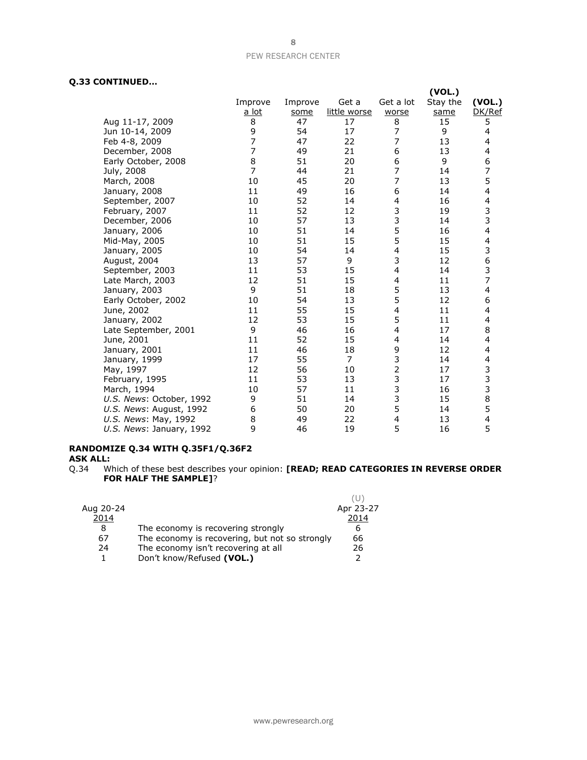# **Q.33 CONTINUED…**

|         |                                                                    |                            |           | (VOL.)                                                                                                                                  |                                  |
|---------|--------------------------------------------------------------------|----------------------------|-----------|-----------------------------------------------------------------------------------------------------------------------------------------|----------------------------------|
| Improve | Improve                                                            | Get a                      | Get a lot | Stay the                                                                                                                                | (VOL.)                           |
| a lot   | some                                                               | little worse               | worse     | same                                                                                                                                    | DK/Ref                           |
| 8       | 47                                                                 | 17                         | 8         | 15                                                                                                                                      | 5                                |
|         | 54                                                                 | 17                         |           | 9                                                                                                                                       | 4                                |
|         | 47                                                                 | 22                         | 7         | 13                                                                                                                                      | 4                                |
|         | 49                                                                 | 21                         | 6         |                                                                                                                                         | 4                                |
|         | 51                                                                 |                            |           | 9                                                                                                                                       | 6                                |
|         | 44                                                                 | 21                         |           | 14                                                                                                                                      | $\overline{7}$                   |
| 10      | 45                                                                 | 20                         | 7         | 13                                                                                                                                      | 5                                |
| 11      | 49                                                                 | 16                         | 6         | 14                                                                                                                                      | 4                                |
| 10      | 52                                                                 | 14                         | 4         | 16                                                                                                                                      | 4                                |
| 11      | 52                                                                 | 12                         |           | 19                                                                                                                                      | 3                                |
| 10      |                                                                    | 13                         |           | 14                                                                                                                                      | 3                                |
| 10      | 51                                                                 | 14                         |           | 16                                                                                                                                      | $\overline{\mathbf{4}}$          |
| 10      | 51                                                                 | 15                         |           | 15                                                                                                                                      | 4                                |
| 10      | 54                                                                 | 14                         |           | 15                                                                                                                                      | 3<br>6                           |
| 13      | 57                                                                 | 9                          |           | 12                                                                                                                                      |                                  |
| 11      | 53                                                                 | 15                         | 4         | 14                                                                                                                                      | 3                                |
| 12      | 51                                                                 | 15                         | 4         | 11                                                                                                                                      | $\overline{7}$                   |
| 9       | 51                                                                 | 18                         |           | 13                                                                                                                                      | 4                                |
| 10      | 54                                                                 | 13                         |           | 12                                                                                                                                      | 6                                |
| 11      |                                                                    | 15                         | 4         |                                                                                                                                         | 4                                |
| 12      | 53                                                                 | 15                         |           | 11                                                                                                                                      | 4                                |
| 9       | 46                                                                 | 16                         | 4         |                                                                                                                                         | 8                                |
| 11      |                                                                    | 15                         | 4         | 14                                                                                                                                      | 4                                |
|         |                                                                    |                            |           |                                                                                                                                         | 4                                |
| 17      | 55                                                                 | 7                          |           | 14                                                                                                                                      | 4                                |
| 12      |                                                                    | 10                         |           |                                                                                                                                         | 3                                |
| 11      | 53                                                                 | 13                         |           | 17                                                                                                                                      | 3                                |
| 10      | 57                                                                 | 11                         |           | 16                                                                                                                                      | 3                                |
| 9       | 51                                                                 | 14                         |           | 15                                                                                                                                      | 8                                |
| 6       | 50                                                                 | 20                         |           | 14                                                                                                                                      | 5                                |
| 8       | 49                                                                 | 22                         | 4         | 13                                                                                                                                      | 4                                |
| 9       | 46                                                                 | 19                         |           |                                                                                                                                         | 5                                |
|         | 9<br>$\overline{7}$<br>$\overline{7}$<br>8<br>$\overline{7}$<br>11 | 57<br>55<br>52<br>46<br>56 | 20<br>18  | $\overline{7}$<br>6<br>$\overline{7}$<br>3<br>3<br>5<br>5<br>4<br>3<br>5<br>5<br>5<br>9<br>3<br>$\overline{2}$<br>3<br>3<br>3<br>5<br>5 | 13<br>11<br>17<br>12<br>17<br>16 |

# **RANDOMIZE Q.34 WITH Q.35F1/Q.36F2**

**ASK ALL:**

Q.34 Which of these best describes your opinion: **[READ; READ CATEGORIES IN REVERSE ORDER FOR HALF THE SAMPLE]**?

| Aug 20-24<br>2014 |                                                                                      | Apr 23-27<br>2014 |
|-------------------|--------------------------------------------------------------------------------------|-------------------|
| 8<br>67           | The economy is recovering strongly<br>The economy is recovering, but not so strongly | 6<br>66           |
| 24                | The economy isn't recovering at all<br>Don't know/Refused (VOL.)                     | 26<br>ּר          |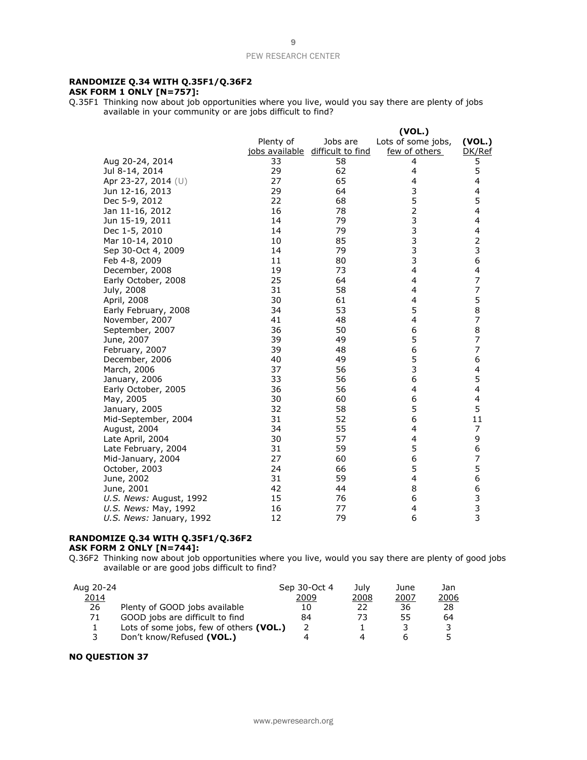### **RANDOMIZE Q.34 WITH Q.35F1/Q.36F2 ASK FORM 1 ONLY [N=757]:**

Q.35F1 Thinking now about job opportunities where you live, would you say there are plenty of jobs available in your community or are jobs difficult to find?

|                          |           |                                  | (VOL.)             |                                       |
|--------------------------|-----------|----------------------------------|--------------------|---------------------------------------|
|                          | Plenty of | Jobs are                         | Lots of some jobs, | (VOL.)                                |
|                          |           | jobs available difficult to find | few of others      | DK/Ref                                |
| Aug 20-24, 2014          | 33        | 58                               | 4                  | 5                                     |
| Jul 8-14, 2014           | 29        | 62                               | 4                  | 5                                     |
| Apr 23-27, 2014 (U)      | 27        | 65                               | 4                  | 4                                     |
| Jun 12-16, 2013          | 29        | 64                               | 3                  | 4                                     |
| Dec 5-9, 2012            | 22        | 68                               | 5                  | 5                                     |
| Jan 11-16, 2012          | 16        | 78                               | $\overline{c}$     | 4                                     |
| Jun 15-19, 2011          | 14        | 79                               | 3                  | 4                                     |
| Dec 1-5, 2010            | 14        | 79                               | 3<br>3             | 4                                     |
| Mar 10-14, 2010          | 10        | 85                               |                    | $\overline{2}$                        |
| Sep 30-Oct 4, 2009       | 14        | 79                               | 3                  | 3                                     |
| Feb 4-8, 2009            | 11        | 80                               | 3                  | 6                                     |
| December, 2008           | 19        | 73                               | 4                  | 4                                     |
| Early October, 2008      | 25        | 64                               | 4                  | $\overline{\mathcal{I}}$              |
| July, 2008               | 31        | 58                               | 4                  | $\overline{7}$                        |
| April, 2008              | 30        | 61                               | $\overline{4}$     | 5                                     |
| Early February, 2008     | 34        | 53                               | 5                  | 8                                     |
| November, 2007           | 41        | 48                               | 4                  | 7                                     |
| September, 2007          | 36        | 50                               | 6                  | 8                                     |
| June, 2007               | 39        | 49                               | 5                  | $\overline{7}$                        |
| February, 2007           | 39        | 48                               | 6                  | $\overline{7}$                        |
| December, 2006           | 40        | 49                               | 5                  | 6                                     |
| March, 2006              | 37        | 56                               | 3                  | 4                                     |
| January, 2006            | 33        | 56                               | 6                  | 5                                     |
| Early October, 2005      | 36        | 56                               | 4                  | 4                                     |
| May, 2005                | 30        | 60                               | 6                  | 4                                     |
| January, 2005            | 32        | 58                               | 5                  | 5                                     |
| Mid-September, 2004      | 31        | 52                               | 6                  | 11                                    |
| August, 2004             | 34        | 55                               | 4                  | 7                                     |
| Late April, 2004         | 30        | 57                               | 4                  | 9                                     |
| Late February, 2004      | 31        | 59                               | 5                  | 6                                     |
| Mid-January, 2004        | 27        | 60                               | 6                  | $\overline{7}$                        |
| October, 2003            | 24        | 66                               | 5                  | 5                                     |
| June, 2002               | 31        | 59                               | $\overline{4}$     | 6                                     |
| June, 2001               | 42        | 44                               | 8                  | 6                                     |
| U.S. News: August, 1992  | 15        | 76                               | 6                  |                                       |
| U.S. News: May, 1992     | 16        | 77                               | 4                  | $\begin{array}{c} 3 \\ 3 \end{array}$ |
| U.S. News: January, 1992 | 12        | 79                               | 6                  |                                       |

### **RANDOMIZE Q.34 WITH Q.35F1/Q.36F2 ASK FORM 2 ONLY [N=744]:**

Q.36F2 Thinking now about job opportunities where you live, would you say there are plenty of good jobs available or are good jobs difficult to find?

| Aug 20-24 |                                         | Sep 30-Oct 4 | July | June | Jan. |
|-----------|-----------------------------------------|--------------|------|------|------|
| 2014      |                                         | 2009         | 2008 | 2007 | 2006 |
| 26        | Plenty of GOOD jobs available           | 10           | 22   | 36   | 28   |
| 71        | GOOD jobs are difficult to find         | 84           | 73   | 55   | 64   |
|           | Lots of some jobs, few of others (VOL.) |              |      |      |      |
|           | Don't know/Refused (VOL.)               |              | Δ    |      |      |

### **NO QUESTION 37**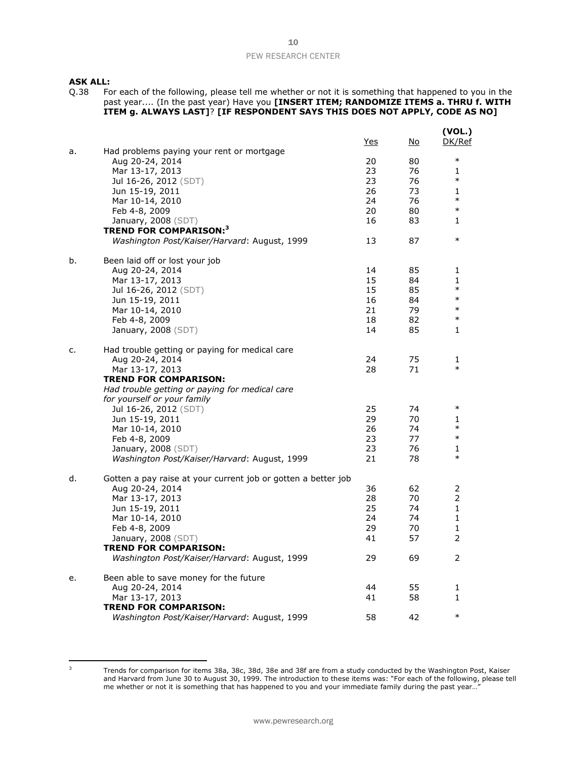### **ASK ALL:**

Q.38 For each of the following, please tell me whether or not it is something that happened to you in the past year.... (In the past year) Have you **[INSERT ITEM; RANDOMIZE ITEMS a. THRU f. WITH ITEM g. ALWAYS LAST]**? **[IF RESPONDENT SAYS THIS DOES NOT APPLY, CODE AS NO]**

|    |                                                                               | <u>Yes</u> | <u>No</u> | (VOL.)<br>DK/Ref |
|----|-------------------------------------------------------------------------------|------------|-----------|------------------|
| a. | Had problems paying your rent or mortgage<br>Aug 20-24, 2014                  | 20         | 80        | $\ast$           |
|    | Mar 13-17, 2013                                                               | 23         | 76        | 1                |
|    | Jul 16-26, 2012 (SDT)                                                         | 23         | 76        | $\ast$           |
|    | Jun 15-19, 2011                                                               | 26         | 73        | $\mathbf{1}$     |
|    | Mar 10-14, 2010                                                               | 24         | 76        | $\ast$           |
|    | Feb 4-8, 2009                                                                 | 20         | 80        | $\ast$           |
|    | January, 2008 (SDT)                                                           | 16         | 83        | 1                |
|    | <b>TREND FOR COMPARISON:</b> 3                                                |            |           |                  |
|    | Washington Post/Kaiser/Harvard: August, 1999                                  | 13         | 87        | $\ast$           |
| b. | Been laid off or lost your job                                                |            |           |                  |
|    | Aug 20-24, 2014                                                               | 14         | 85        | 1                |
|    | Mar 13-17, 2013                                                               | 15         | 84        | 1                |
|    | Jul 16-26, 2012 (SDT)                                                         | 15         | 85        | $\ast$           |
|    | Jun 15-19, 2011                                                               | 16         | 84        | $\ast$           |
|    | Mar 10-14, 2010                                                               | 21         | 79        | $\ast$           |
|    | Feb 4-8, 2009                                                                 | 18         | 82        | $\ast$           |
|    | January, $2008$ (SDT)                                                         | 14         | 85        | 1                |
| c. | Had trouble getting or paying for medical care                                |            |           |                  |
|    | Aug 20-24, 2014                                                               | 24         | 75        | 1<br>$\ast$      |
|    | Mar 13-17, 2013                                                               | 28         | 71        |                  |
|    | <b>TREND FOR COMPARISON:</b>                                                  |            |           |                  |
|    | Had trouble getting or paying for medical care<br>for yourself or your family |            |           |                  |
|    | Jul 16-26, 2012 (SDT)                                                         | 25         | 74        | $\ast$           |
|    | Jun 15-19, 2011                                                               | 29         | 70        | 1                |
|    | Mar 10-14, 2010                                                               | 26         | 74        | $\ast$           |
|    | Feb 4-8, 2009                                                                 | 23         | 77        | $\ast$           |
|    | January, 2008 (SDT)                                                           | 23         | 76        | 1                |
|    | Washington Post/Kaiser/Harvard: August, 1999                                  | 21         | 78        | $\ast$           |
|    |                                                                               |            |           |                  |
| d. | Gotten a pay raise at your current job or gotten a better job                 |            |           |                  |
|    | Aug 20-24, 2014                                                               | 36         | 62        | 2                |
|    | Mar 13-17, 2013                                                               | 28         | 70        | 2                |
|    | Jun 15-19, 2011                                                               | 25         | 74        | $\mathbf{1}$     |
|    | Mar 10-14, 2010                                                               | 24         | 74        | $\mathbf{1}$     |
|    | Feb 4-8, 2009                                                                 | 29         | 70        | 1                |
|    | January, 2008 (SDT)                                                           | 41         | 57        | 2                |
|    | <b>TREND FOR COMPARISON:</b><br>Washington Post/Kaiser/Harvard: August, 1999  | 29         | 69        | 2                |
|    |                                                                               |            |           |                  |
| e. | Been able to save money for the future<br>Aug 20-24, 2014                     | 44         | 55        | 1                |
|    | Mar 13-17, 2013                                                               | 41         | 58        | 1                |
|    | <b>TREND FOR COMPARISON:</b>                                                  |            |           |                  |
|    | Washington Post/Kaiser/Harvard: August, 1999                                  | 58         | 42        | $\ast$           |
|    |                                                                               |            |           |                  |

<sup>&</sup>lt;sup>3</sup> Trends for comparison for items 38a, 38c, 38d, 38e and 38f are from a study conducted by the Washington Post, Kaiser and Harvard from June 30 to August 30, 1999. The introduction to these items was: "For each of the following, please tell me whether or not it is something that has happened to you and your immediate family during the past year...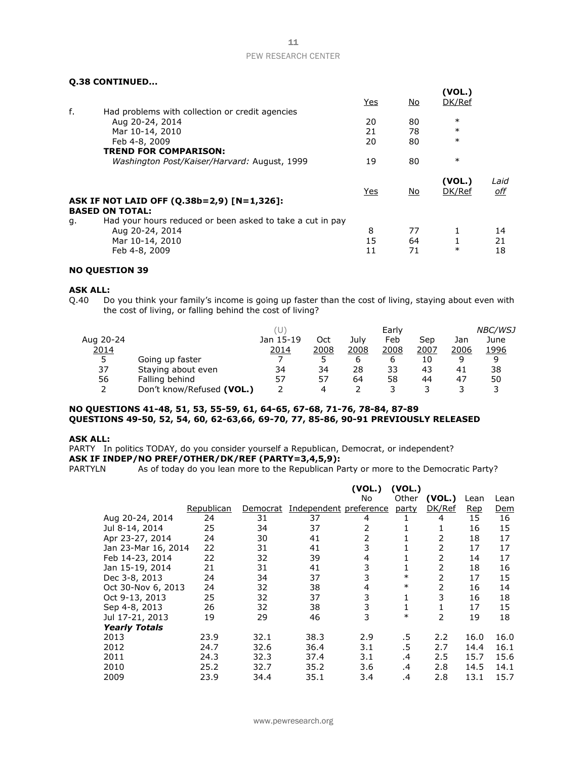# **Q.38 CONTINUED...**

|    |                                                           | Yes        | <u>No</u> | (VOL.)<br>DK/Ref |                    |
|----|-----------------------------------------------------------|------------|-----------|------------------|--------------------|
| f. | Had problems with collection or credit agencies           |            |           |                  |                    |
|    | Aug 20-24, 2014                                           | 20         | 80        | $\ast$           |                    |
|    | Mar 10-14, 2010                                           | 21         | 78        | $\ast$           |                    |
|    | Feb 4-8, 2009                                             | 20         | 80        | $\ast$           |                    |
|    | <b>TREND FOR COMPARISON:</b>                              |            |           |                  |                    |
|    | Washington Post/Kaiser/Harvard: August, 1999              | 19         | 80        | $\ast$           |                    |
|    |                                                           | <b>Yes</b> | <u>No</u> | (VOL.)<br>DK/Ref | Laid<br><u>off</u> |
|    | ASK IF NOT LAID OFF (Q.38b=2,9) [N=1,326]:                |            |           |                  |                    |
|    | <b>BASED ON TOTAL:</b>                                    |            |           |                  |                    |
| g. | Had your hours reduced or been asked to take a cut in pay |            |           |                  |                    |
|    | Aug 20-24, 2014                                           | 8          | 77        | 1                | 14                 |
|    | Mar 10-14, 2010                                           | 15         | 64        |                  | 21                 |
|    | Feb 4-8, 2009                                             | 11         | 71        | $\ast$           | 18                 |

# **NO QUESTION 39**

**ASK ALL:**<br>Q.40 Do Do you think your family's income is going up faster than the cost of living, staying about even with the cost of living, or falling behind the cost of living?

|           |                           |           |      |      | Early |      |      | <b>NBC/WSJ</b> |
|-----------|---------------------------|-----------|------|------|-------|------|------|----------------|
| Aug 20-24 |                           | Jan 15-19 | Oct  | July | Feb   | Sep  | Jan  | June           |
| 2014      |                           | 2014      | 2008 | 2008 | 2008  | 2007 | 2006 | 1996           |
| 5         | Going up faster           |           |      | b    | b     | 10   |      |                |
| 37        | Staying about even        | 34        | 34   | 28   | 33    | 43   | 41   | 38             |
| 56        | Falling behind            | 57        | 57   | 64   | 58    | 44   | 47   | 50             |
|           | Don't know/Refused (VOL.) |           | 4    |      |       |      |      |                |

### **NO QUESTIONS 41-48, 51, 53, 55-59, 61, 64-65, 67-68, 71-76, 78-84, 87-89 QUESTIONS 49-50, 52, 54, 60, 62-63,66, 69-70, 77, 85-86, 90-91 PREVIOUSLY RELEASED**

### **ASK ALL:**

PARTY In politics TODAY, do you consider yourself a Republican, Democrat, or independent? **ASK IF INDEP/NO PREF/OTHER/DK/REF (PARTY=3,4,5,9):**

PARTYLN As of today do you lean more to the Republican Party or more to the Democratic Party?

|                      |            |          |                        | (VOL.) | (VOL.)       |                |      |      |
|----------------------|------------|----------|------------------------|--------|--------------|----------------|------|------|
|                      |            |          |                        | No     | Other        | (VOL.)         | Lean | Lean |
|                      | Republican | Democrat | Independent preference |        | party        | DK/Ref         | Rep  | Dem  |
| Aug 20-24, 2014      | 24         | 31       | 37                     | 4      |              | 4              | 15   | 16   |
| Jul 8-14, 2014       | 25         | 34       | 37                     | 2      |              | 1              | 16   | 15   |
| Apr 23-27, 2014      | 24         | 30       | 41                     | 2      |              | 2              | 18   | 17   |
| Jan 23-Mar 16, 2014  | 22         | 31       | 41                     | 3      |              | 2              | 17   | 17   |
| Feb 14-23, 2014      | 22         | 32       | 39                     | 4      |              | 2              | 14   | 17   |
| Jan 15-19, 2014      | 21         | 31       | 41                     | 3      |              | 2              | 18   | 16   |
| Dec 3-8, 2013        | 24         | 34       | 37                     | 3      | $\ast$       | 2              | 17   | 15   |
| Oct 30-Nov 6, 2013   | 24         | 32       | 38                     | 4      | $\ast$       | $\overline{2}$ | 16   | 14   |
| Oct 9-13, 2013       | 25         | 32       | 37                     | 3      | 1            | 3              | 16   | 18   |
| Sep 4-8, 2013        | 26         | 32       | 38                     | 3      | $\mathbf{1}$ | 1              | 17   | 15   |
| Jul 17-21, 2013      | 19         | 29       | 46                     | 3      | $\ast$       | $\overline{2}$ | 19   | 18   |
| <b>Yearly Totals</b> |            |          |                        |        |              |                |      |      |
| 2013                 | 23.9       | 32.1     | 38.3                   | 2.9    | .5           | 2.2            | 16.0 | 16.0 |
| 2012                 | 24.7       | 32.6     | 36.4                   | 3.1    | .5           | 2.7            | 14.4 | 16.1 |
| 2011                 | 24.3       | 32.3     | 37.4                   | 3.1    | .4           | 2.5            | 15.7 | 15.6 |
| 2010                 | 25.2       | 32.7     | 35.2                   | 3.6    | .4           | 2.8            | 14.5 | 14.1 |
| 2009                 | 23.9       | 34.4     | 35.1                   | 3.4    | .4           | 2.8            | 13.1 | 15.7 |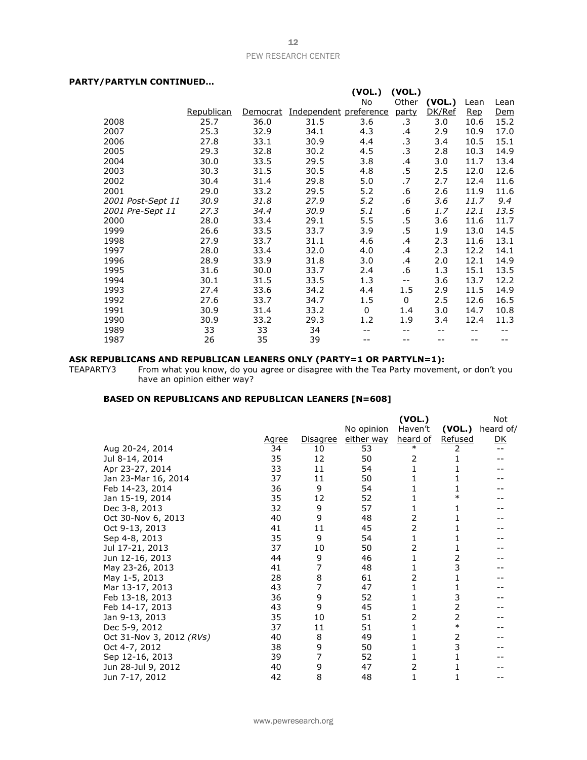# **PARTY/PARTYLN CONTINUED…**

| , , ,,,, , ,,, ,,,,,,,,,,,,,,,,,,, |            |          |                        |          |             |        |      |            |
|------------------------------------|------------|----------|------------------------|----------|-------------|--------|------|------------|
|                                    |            |          |                        | (VOL.)   | (VOL.)      |        |      |            |
|                                    |            |          |                        | No       | Other       | (VOL.) | Lean | Lean       |
|                                    | Republican | Democrat | Independent preference |          | party       | DK/Ref | Rep  | <u>Dem</u> |
| 2008                               | 25.7       | 36.0     | 31.5                   | 3.6      | .3          | 3.0    | 10.6 | 15.2       |
| 2007                               | 25.3       | 32.9     | 34.1                   | 4.3      | .4          | 2.9    | 10.9 | 17.0       |
| 2006                               | 27.8       | 33.1     | 30.9                   | 4.4      | $\cdot$ 3   | 3.4    | 10.5 | 15.1       |
| 2005                               | 29.3       | 32.8     | 30.2                   | 4.5      | $\cdot$ 3   | 2.8    | 10.3 | 14.9       |
| 2004                               | 30.0       | 33.5     | 29.5                   | 3.8      | .4          | 3.0    | 11.7 | 13.4       |
| 2003                               | 30.3       | 31.5     | 30.5                   | 4.8      | .5          | 2.5    | 12.0 | 12.6       |
| 2002                               | 30.4       | 31.4     | 29.8                   | 5.0      | .7          | 2.7    | 12.4 | 11.6       |
| 2001                               | 29.0       | 33.2     | 29.5                   | 5.2      | .6          | 2.6    | 11.9 | 11.6       |
| 2001 Post-Sept 11                  | 30.9       | 31.8     | 27.9                   | 5.2      | .6          | 3.6    | 11.7 | 9.4        |
| 2001 Pre-Sept 11                   | 27.3       | 34.4     | 30.9                   | 5.1      | .6          | 1.7    | 12.1 | 13.5       |
| 2000                               | 28.0       | 33.4     | 29.1                   | 5.5      | .5          | 3.6    | 11.6 | 11.7       |
| 1999                               | 26.6       | 33.5     | 33.7                   | 3.9      | .5          | 1.9    | 13.0 | 14.5       |
| 1998                               | 27.9       | 33.7     | 31.1                   | 4.6      | .4          | 2.3    | 11.6 | 13.1       |
| 1997                               | 28.0       | 33.4     | 32.0                   | 4.0      | .4          | 2.3    | 12.2 | 14.1       |
| 1996                               | 28.9       | 33.9     | 31.8                   | 3.0      | .4          | 2.0    | 12.1 | 14.9       |
| 1995                               | 31.6       | 30.0     | 33.7                   | 2.4      | .6          | 1.3    | 15.1 | 13.5       |
| 1994                               | 30.1       | 31.5     | 33.5                   | 1.3      | $- -$       | 3.6    | 13.7 | 12.2       |
| 1993                               | 27.4       | 33.6     | 34.2                   | 4.4      | 1.5         | 2.9    | 11.5 | 14.9       |
| 1992                               | 27.6       | 33.7     | 34.7                   | 1.5      | $\mathbf 0$ | 2.5    | 12.6 | 16.5       |
| 1991                               | 30.9       | 31.4     | 33.2                   | $\Omega$ | 1.4         | 3.0    | 14.7 | 10.8       |
| 1990                               | 30.9       | 33.2     | 29.3                   | 1.2      | 1.9         | 3.4    | 12.4 | 11.3       |
| 1989                               | 33         | 33       | 34                     |          | --          | --     | --   |            |
| 1987                               | 26         | 35       | 39                     |          |             | --     | --   |            |

### **ASK REPUBLICANS AND REPUBLICAN LEANERS ONLY (PARTY=1 OR PARTYLN=1):**

TEAPARTY3 From what you know, do you agree or disagree with the Tea Party movement, or don't you have an opinion either way?

### **BASED ON REPUBLICANS AND REPUBLICAN LEANERS [N=608]**

|                          |       |          |            | (VOL.)          |         | Not       |
|--------------------------|-------|----------|------------|-----------------|---------|-----------|
|                          |       |          | No opinion | Haven't         | (VOL.)  | heard of/ |
|                          | Agree | Disagree | either way | <u>heard of</u> | Refused | <u>DК</u> |
| Aug 20-24, 2014          | 34    | 10       | 53         | $\ast$          | 2       |           |
| Jul 8-14, 2014           | 35    | 12       | 50         | 2               |         |           |
| Apr 23-27, 2014          | 33    | 11       | 54         | 1               |         |           |
| Jan 23-Mar 16, 2014      | 37    | 11       | 50         | 1               | 1       |           |
| Feb 14-23, 2014          | 36    | 9        | 54         | 1               | 1       |           |
| Jan 15-19, 2014          | 35    | 12       | 52         | 1               | $\ast$  |           |
| Dec 3-8, 2013            | 32    | 9        | 57         | 1               | 1       |           |
| Oct 30-Nov 6, 2013       | 40    | 9        | 48         | 2               | 1       |           |
| Oct 9-13, 2013           | 41    | 11       | 45         | $\overline{2}$  | 1       |           |
| Sep 4-8, 2013            | 35    | 9        | 54         | 1               | 1       |           |
| Jul 17-21, 2013          | 37    | 10       | 50         | 2               | 1       |           |
| Jun 12-16, 2013          | 44    | 9        | 46         | 1               | 2       |           |
| May 23-26, 2013          | 41    | 7        | 48         | 1               | 3       |           |
| May 1-5, 2013            | 28    | 8        | 61         | 2               | 1       |           |
| Mar 13-17, 2013          | 43    | 7        | 47         | $\mathbf{1}$    | 1       |           |
| Feb 13-18, 2013          | 36    | 9        | 52         | 1               | 3       |           |
| Feb 14-17, 2013          | 43    | 9        | 45         | 1               | 2       |           |
| Jan 9-13, 2013           | 35    | 10       | 51         | 2               | 2       |           |
| Dec 5-9, 2012            | 37    | 11       | 51         | 1               | $\ast$  |           |
| Oct 31-Nov 3, 2012 (RVs) | 40    | 8        | 49         | 1               | 2       |           |
| Oct 4-7, 2012            | 38    | 9        | 50         | 1               | 3       |           |
| Sep 12-16, 2013          | 39    | 7        | 52         | 1               | 1       |           |
| Jun 28-Jul 9, 2012       | 40    | 9        | 47         | 2               |         |           |
| Jun 7-17, 2012           | 42    | 8        | 48         | $\mathbf{1}$    | 1       |           |